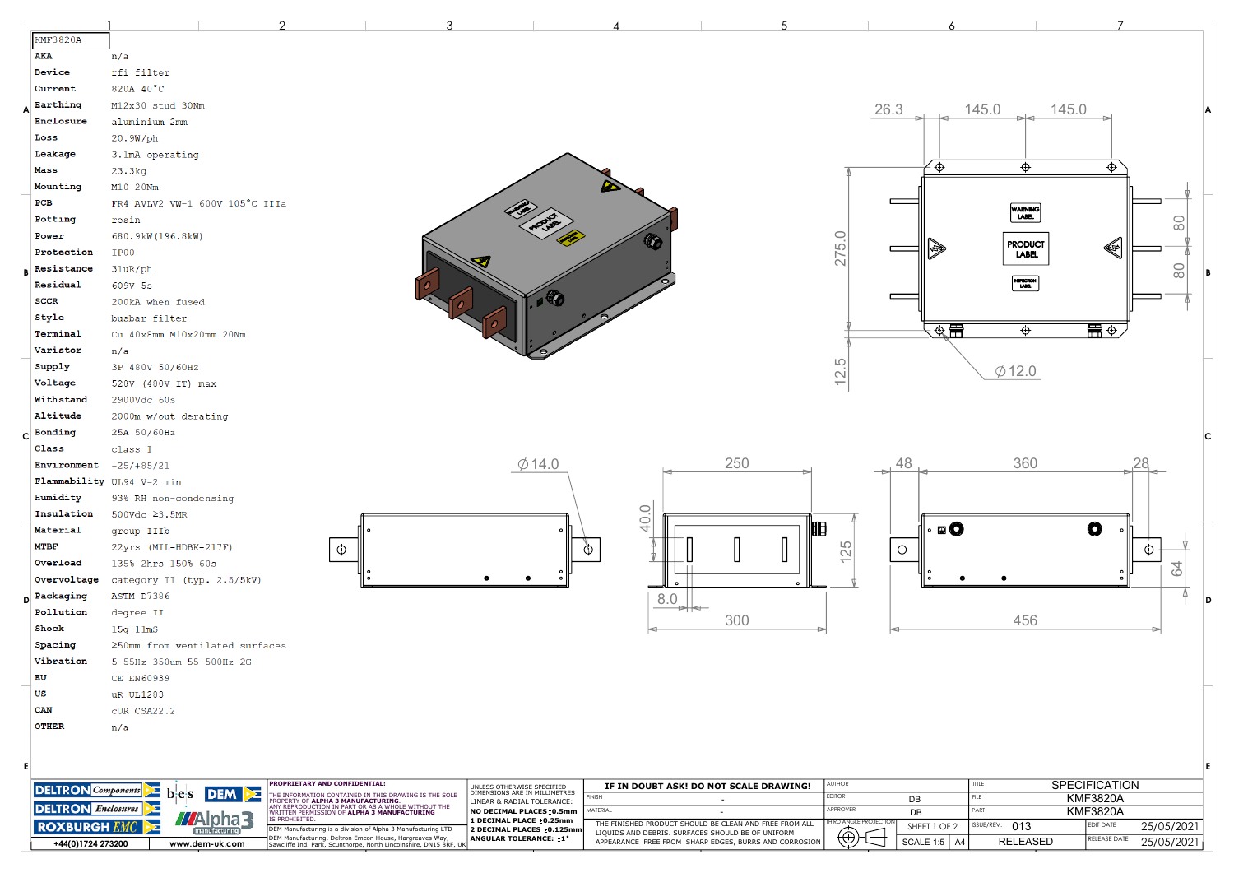|                                  |                                | っ                                                                                                                          | 3                                                                                                                            |                                                             |                                                   | 5                                                      |                           |                |                                                               |                              |
|----------------------------------|--------------------------------|----------------------------------------------------------------------------------------------------------------------------|------------------------------------------------------------------------------------------------------------------------------|-------------------------------------------------------------|---------------------------------------------------|--------------------------------------------------------|---------------------------|----------------|---------------------------------------------------------------|------------------------------|
| <b>KMF3820A</b>                  |                                |                                                                                                                            |                                                                                                                              |                                                             |                                                   |                                                        |                           |                |                                                               |                              |
| AKA                              | n/a                            |                                                                                                                            |                                                                                                                              |                                                             |                                                   |                                                        |                           |                |                                                               |                              |
| Device                           | rfi filter                     |                                                                                                                            |                                                                                                                              |                                                             |                                                   |                                                        |                           |                |                                                               |                              |
| Current                          | 820A 40°C                      |                                                                                                                            |                                                                                                                              |                                                             |                                                   |                                                        |                           |                |                                                               |                              |
| Earthing                         | M12x30 stud 30Nm               |                                                                                                                            |                                                                                                                              |                                                             |                                                   |                                                        | 26.3                      |                | 145.0                                                         | 145.0                        |
| Enclosure                        | aluminium 2mm                  |                                                                                                                            |                                                                                                                              |                                                             |                                                   |                                                        |                           |                |                                                               |                              |
| Loss                             | 20.9W/ph                       |                                                                                                                            |                                                                                                                              |                                                             |                                                   |                                                        |                           |                |                                                               |                              |
| Leakage                          | 3.1mA operating                |                                                                                                                            |                                                                                                                              |                                                             |                                                   |                                                        |                           |                |                                                               |                              |
| Mass                             | 23.3kg                         |                                                                                                                            |                                                                                                                              |                                                             |                                                   |                                                        |                           | $\oplus$       | $\oplus$                                                      | ⊕                            |
| Mounting                         | M10 20Nm                       |                                                                                                                            |                                                                                                                              |                                                             |                                                   |                                                        |                           |                |                                                               |                              |
| PCB                              | FR4 AVLV2 VW-1 600V 105°C IIIa |                                                                                                                            |                                                                                                                              |                                                             |                                                   |                                                        |                           |                |                                                               |                              |
| Potting                          | resin                          |                                                                                                                            |                                                                                                                              |                                                             |                                                   |                                                        |                           |                | WARNING<br>LABEL                                              | 0                            |
| Power                            | 680.9kW(196.8kW)               |                                                                                                                            |                                                                                                                              |                                                             |                                                   |                                                        |                           |                |                                                               | $\infty$                     |
| Protection                       | IP00                           |                                                                                                                            |                                                                                                                              |                                                             |                                                   |                                                        | 275.0                     | H              | <b>PRODUCT</b>                                                | ◈                            |
| Resistance                       |                                |                                                                                                                            |                                                                                                                              |                                                             |                                                   |                                                        |                           |                | LABEL.                                                        |                              |
| Residual                         | 31uR/ph                        |                                                                                                                            |                                                                                                                              |                                                             |                                                   |                                                        |                           |                | $\begin{bmatrix} \text{NIFICION} \\ \text{LME} \end{bmatrix}$ | $\rm ^{\circ}$               |
|                                  | 609V 5s                        |                                                                                                                            |                                                                                                                              |                                                             |                                                   |                                                        |                           |                |                                                               |                              |
| <b>SCCR</b>                      | 200kA when fused               |                                                                                                                            |                                                                                                                              |                                                             |                                                   |                                                        |                           |                |                                                               |                              |
| Style                            | busbar filter                  |                                                                                                                            |                                                                                                                              |                                                             |                                                   |                                                        |                           | ◈류             | $\Phi$                                                        |                              |
| Terminal                         | Cu 40x8mm M10x20mm 20Nm        |                                                                                                                            |                                                                                                                              |                                                             |                                                   |                                                        |                           |                |                                                               |                              |
| Varistor                         | n/a                            |                                                                                                                            |                                                                                                                              |                                                             |                                                   |                                                        | LO <sub>.</sub>           |                |                                                               |                              |
| Supply                           | 3P 480V 50/60Hz                |                                                                                                                            |                                                                                                                              |                                                             |                                                   |                                                        | $\overline{\cong}$        |                | $\varphi$ 12.0                                                |                              |
| Voltage                          | 528V (480V IT) max             |                                                                                                                            |                                                                                                                              |                                                             |                                                   |                                                        |                           |                |                                                               |                              |
| Withstand                        | 2900Vdc 60s                    |                                                                                                                            |                                                                                                                              |                                                             |                                                   |                                                        |                           |                |                                                               |                              |
| Altitude                         | 2000m w/out derating           |                                                                                                                            |                                                                                                                              |                                                             |                                                   |                                                        |                           |                |                                                               |                              |
| Bonding                          | 25A 50/60Hz                    |                                                                                                                            |                                                                                                                              |                                                             |                                                   |                                                        |                           |                |                                                               |                              |
| Class                            | class I                        |                                                                                                                            |                                                                                                                              |                                                             |                                                   |                                                        |                           |                |                                                               |                              |
| Environment                      | $-25/185/21$                   |                                                                                                                            |                                                                                                                              | $\emptyset$ 14.0                                            |                                                   | 250                                                    |                           | 48             | 360                                                           | 28.                          |
|                                  | Flammability UL94 V-2 min      |                                                                                                                            |                                                                                                                              |                                                             |                                                   |                                                        |                           |                |                                                               |                              |
| Humidity                         | 93% RH non-condensing          |                                                                                                                            |                                                                                                                              |                                                             |                                                   |                                                        |                           |                |                                                               |                              |
| Insulation                       | 500Vdc ≥3.5MR                  |                                                                                                                            |                                                                                                                              |                                                             | 40.0                                              |                                                        |                           |                |                                                               |                              |
| Material                         | group IIIb                     |                                                                                                                            |                                                                                                                              |                                                             |                                                   | 10                                                     |                           | <b>90</b>      |                                                               | $\bullet$                    |
| <b>MTBF</b>                      | 22yrs (MIL-HDBK-217F)          | $\oplus$                                                                                                                   |                                                                                                                              |                                                             | $\Phi$                                            |                                                        | 25                        | $\oplus$       |                                                               | $\bigoplus$                  |
| Overload                         | 135% 2hrs 150% 60s             |                                                                                                                            |                                                                                                                              |                                                             |                                                   |                                                        | $\overline{\phantom{0}}$  |                |                                                               | $\Omega$                     |
| Overvoltage                      | category II (typ. 2.5/5kV)     |                                                                                                                            |                                                                                                                              |                                                             |                                                   | $\bullet$                                              |                           |                |                                                               |                              |
| Packaging                        | ASTM D7386                     |                                                                                                                            |                                                                                                                              |                                                             | 8.0                                               |                                                        |                           |                |                                                               |                              |
| Pollution                        | degree II                      |                                                                                                                            |                                                                                                                              |                                                             |                                                   |                                                        |                           |                |                                                               |                              |
| Shock                            | 15g 11mS                       |                                                                                                                            |                                                                                                                              |                                                             |                                                   | 300                                                    |                           |                | 456                                                           |                              |
| Spacing                          | ≥50mm from ventilated surfaces |                                                                                                                            |                                                                                                                              |                                                             |                                                   |                                                        |                           |                |                                                               |                              |
| Vibration                        | 5-55Hz 350um 55-500Hz 2G       |                                                                                                                            |                                                                                                                              |                                                             |                                                   |                                                        |                           |                |                                                               |                              |
| EU                               | CE EN60939                     |                                                                                                                            |                                                                                                                              |                                                             |                                                   |                                                        |                           |                |                                                               |                              |
| US                               | uR UL1283                      |                                                                                                                            |                                                                                                                              |                                                             |                                                   |                                                        |                           |                |                                                               |                              |
| CAN                              | cUR CSA22.2                    |                                                                                                                            |                                                                                                                              |                                                             |                                                   |                                                        |                           |                |                                                               |                              |
| <b>OTHER</b>                     | n/a                            |                                                                                                                            |                                                                                                                              |                                                             |                                                   |                                                        |                           |                |                                                               |                              |
|                                  |                                |                                                                                                                            |                                                                                                                              |                                                             |                                                   |                                                        |                           |                |                                                               |                              |
|                                  |                                |                                                                                                                            |                                                                                                                              |                                                             |                                                   |                                                        |                           |                |                                                               |                              |
|                                  |                                |                                                                                                                            |                                                                                                                              |                                                             |                                                   |                                                        |                           |                |                                                               | E                            |
| <b>DELTRON</b> Components        | <b>DEM</b><br>b e s<br>⊵≍      | <b>PROPRIETARY AND CONFIDENTIAL:</b>                                                                                       |                                                                                                                              | UNLESS OTHERWISE SPECIFIED<br>DIMENSIONS ARE IN MILLIMETRES |                                                   | IF IN DOUBT ASK! DO NOT SCALE DRAWING!                 | AUTHOR                    |                | TITLE                                                         | <b>SPECIFICATION</b>         |
| <b>DELTRON</b> <i>Enclosures</i> |                                |                                                                                                                            | THE INFORMATION CONTAINED IN THIS DRAWING IS THE SOLE<br>PROPERTY OF <b>ALPHA 3 MANUFACTURING</b> .                          | LINEAR & RADIAL TOLERANCE:                                  | <b>FINISH</b><br>MATERIAL                         | $\overline{\phantom{a}}$                               | <b>EDITOR</b><br>APPROVER | DB             | FILE<br>PART                                                  | <b>KMF3820A</b>              |
|                                  | <b>MAIpha3</b><br>Σ            | ANY REPRODUCTION IN PART OR AS A WHOLE WITHOUT THE<br>WRITTEN PERMISSION OF <b>ALPHA 3 MANUFACTURING</b><br>IS PROHIBITED. |                                                                                                                              | NO DECIMAL PLACES: 0.5mm<br>1 DECIMAL PLACE : 0.25mm        |                                                   | THE FINISHED PRODUCT SHOULD BE CLEAN AND FREE FROM ALL | HIRD ANGLE PROJECTIO      | DB             | SSUE/REV.<br>013                                              | <b>KMF3820A</b><br>EDIT DATE |
| <b>ROXBURGH EM</b>               | manufacturing                  | DEM Manufacturing is a division of Alpha 3 Manufacturing LTD                                                               |                                                                                                                              | 2 DECIMAL PLACES : 0.125mm                                  | LIQUIDS AND DEBRIS. SURFACES SHOULD BE OF UNIFORM |                                                        | $\bigoplus$               | SHEET 1 OF 2   |                                                               | 25/05/2021                   |
| +44(0)1724 273200                | www.dem-uk.com                 |                                                                                                                            | DEM Manufacturing, Deltron Emcon House, Hargreaves Way,<br>Sawcliffe Ind. Park, Scunthorpe, North Lincolnshire, DN15 8RF, UK | ANGULAR TOLERANCE: :1°                                      |                                                   | APPEARANCE FREE FROM SHARP EDGES, BURRS AND CORROSION  |                           | SCALE 1:5   A4 | <b>RELEASED</b>                                               | RELEASE DATE<br>25/05/2021   |